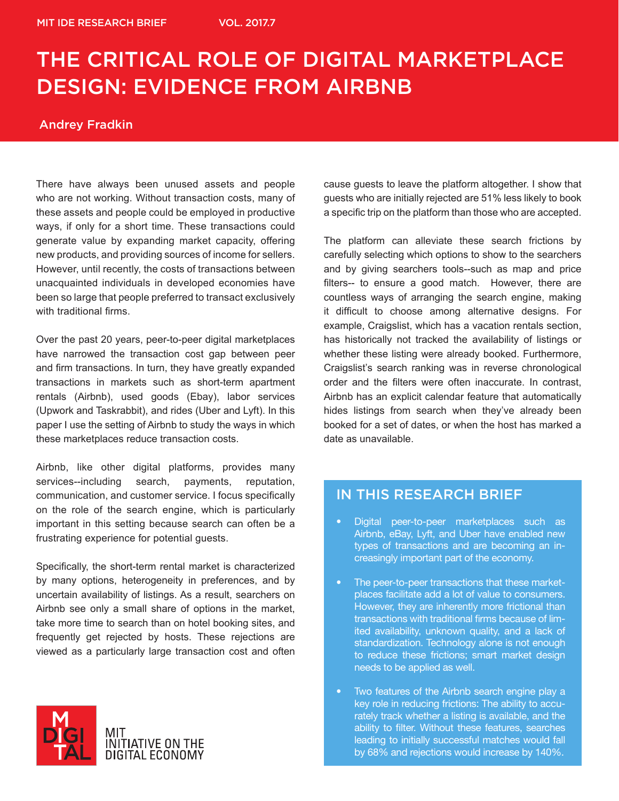# THE CRITICAL ROLE OF DIGITAL MARKETPLACE DESIGN: EVIDENCE FROM AIRBNB

## Andrey Fradkin

There have always been unused assets and people who are not working. Without transaction costs, many of these assets and people could be employed in productive ways, if only for a short time. These transactions could generate value by expanding market capacity, offering new products, and providing sources of income for sellers. However, until recently, the costs of transactions between unacquainted individuals in developed economies have been so large that people preferred to transact exclusively with traditional firms.

Over the past 20 years, peer-to-peer digital marketplaces have narrowed the transaction cost gap between peer and firm transactions. In turn, they have greatly expanded transactions in markets such as short-term apartment rentals (Airbnb), used goods (Ebay), labor services (Upwork and Taskrabbit), and rides (Uber and Lyft). In this paper I use the setting of Airbnb to study the ways in which these marketplaces reduce transaction costs.

Airbnb, like other digital platforms, provides many services--including search, payments, reputation, communication, and customer service. I focus specifically on the role of the search engine, which is particularly important in this setting because search can often be a frustrating experience for potential guests.

Specifically, the short-term rental market is characterized by many options, heterogeneity in preferences, and by uncertain availability of listings. As a result, searchers on Airbnb see only a small share of options in the market, take more time to search than on hotel booking sites, and frequently get rejected by hosts. These rejections are viewed as a particularly large transaction cost and often



cause guests to leave the platform altogether. I show that guests who are initially rejected are 51% less likely to book a specific trip on the platform than those who are accepted.

The platform can alleviate these search frictions by carefully selecting which options to show to the searchers and by giving searchers tools--such as map and price filters-- to ensure a good match. However, there are countless ways of arranging the search engine, making it difficult to choose among alternative designs. For example, Craigslist, which has a vacation rentals section, has historically not tracked the availability of listings or whether these listing were already booked. Furthermore, Craigslist's search ranking was in reverse chronological order and the filters were often inaccurate. In contrast, Airbnb has an explicit calendar feature that automatically hides listings from search when they've already been booked for a set of dates, or when the host has marked a date as unavailable.

# IN THIS RESEARCH BRIEF

- Digital peer-to-peer marketplaces such as Airbnb, eBay, Lyft, and Uber have enabled new types of transactions and are becoming an increasingly important part of the economy.
- The peer-to-peer transactions that these marketplaces facilitate add a lot of value to consumers. However, they are inherently more frictional than transactions with traditional firms because of limited availability, unknown quality, and a lack of standardization. Technology alone is not enough to reduce these frictions; smart market design needs to be applied as well.
- Two features of the Airbnb search engine play a key role in reducing frictions: The ability to accurately track whether a listing is available, and the ability to filter. Without these features, searches leading to initially successful matches would fall by 68% and rejections would increase by 140%.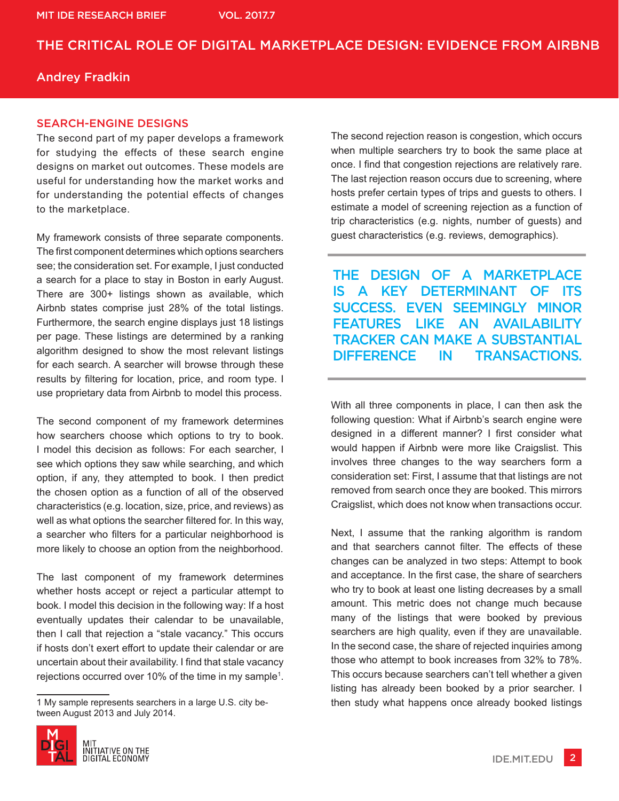# THE CRITICAL ROLE OF DIGITAL MARKETPLACE DESIGN: EVIDENCE FROM AIRBNB

## Andrey Fradkin

#### SEARCH-ENGINE DESIGNS

The second part of my paper develops a framework for studying the effects of these search engine designs on market out outcomes. These models are useful for understanding how the market works and for understanding the potential effects of changes to the marketplace.

My framework consists of three separate components. The first component determines which options searchers see; the consideration set. For example, I just conducted a search for a place to stay in Boston in early August. There are 300+ listings shown as available, which Airbnb states comprise just 28% of the total listings. Furthermore, the search engine displays just 18 listings per page. These listings are determined by a ranking algorithm designed to show the most relevant listings for each search. A searcher will browse through these results by filtering for location, price, and room type. I use proprietary data from Airbnb to model this process.

The second component of my framework determines how searchers choose which options to try to book. I model this decision as follows: For each searcher, I see which options they saw while searching, and which option, if any, they attempted to book. I then predict the chosen option as a function of all of the observed characteristics (e.g. location, size, price, and reviews) as well as what options the searcher filtered for. In this way, a searcher who filters for a particular neighborhood is more likely to choose an option from the neighborhood.

The last component of my framework determines whether hosts accept or reject a particular attempt to book. I model this decision in the following way: If a host eventually updates their calendar to be unavailable, then I call that rejection a "stale vacancy." This occurs if hosts don't exert effort to update their calendar or are uncertain about their availability. I find that stale vacancy rejections occurred over 10% of the time in my sample1 .

<sup>1</sup> My sample represents searchers in a large U.S. city between August 2013 and July 2014.



The second rejection reason is congestion, which occurs when multiple searchers try to book the same place at once. I find that congestion rejections are relatively rare. The last rejection reason occurs due to screening, where hosts prefer certain types of trips and guests to others. I estimate a model of screening rejection as a function of trip characteristics (e.g. nights, number of guests) and guest characteristics (e.g. reviews, demographics).

THE DESIGN OF A MARKETPLACE IS A KEY DETERMINANT OF ITS SUCCESS. EVEN SEEMINGLY MINOR FEATURES LIKE AN AVAILABILITY TRACKER CAN MAKE A SUBSTANTIAL DIFFERENCE IN TRANSACTIONS.

With all three components in place, I can then ask the following question: What if Airbnb's search engine were designed in a different manner? I first consider what would happen if Airbnb were more like Craigslist. This involves three changes to the way searchers form a consideration set: First, I assume that that listings are not removed from search once they are booked. This mirrors Craigslist, which does not know when transactions occur.

Next, I assume that the ranking algorithm is random and that searchers cannot filter. The effects of these changes can be analyzed in two steps: Attempt to book and acceptance. In the first case, the share of searchers who try to book at least one listing decreases by a small amount. This metric does not change much because many of the listings that were booked by previous searchers are high quality, even if they are unavailable. In the second case, the share of rejected inquiries among those who attempt to book increases from 32% to 78%. This occurs because searchers can't tell whether a given listing has already been booked by a prior searcher. I then study what happens once already booked listings